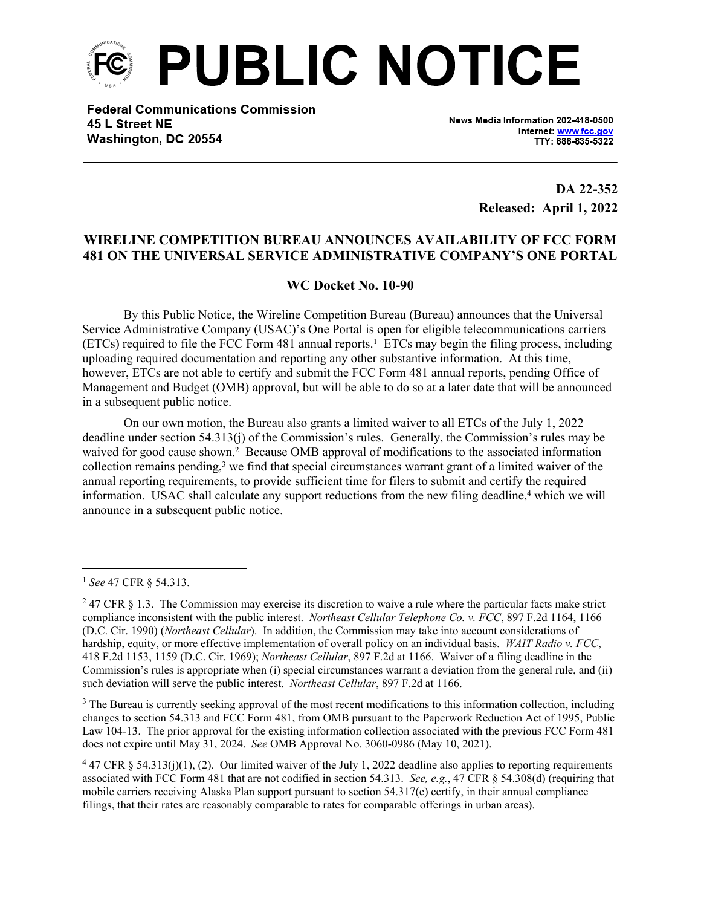

**Federal Communications Commission** 45 L Street NE Washington, DC 20554

News Media Information 202-418-0500 Internet: www.fcc.gov TTY: 888-835-5322

> **DA 22-352 Released: April 1, 2022**

## **WIRELINE COMPETITION BUREAU ANNOUNCES AVAILABILITY OF FCC FORM 481 ON THE UNIVERSAL SERVICE ADMINISTRATIVE COMPANY'S ONE PORTAL**

## **WC Docket No. 10-90**

By this Public Notice, the Wireline Competition Bureau (Bureau) announces that the Universal Service Administrative Company (USAC)'s One Portal is open for eligible telecommunications carriers (ETCs) required to file the FCC Form 481 annual reports.<sup>1</sup> ETCs may begin the filing process, including uploading required documentation and reporting any other substantive information. At this time, however, ETCs are not able to certify and submit the FCC Form 481 annual reports, pending Office of Management and Budget (OMB) approval, but will be able to do so at a later date that will be announced in a subsequent public notice.

On our own motion, the Bureau also grants a limited waiver to all ETCs of the July 1, 2022 deadline under section 54.313(j) of the Commission's rules. Generally, the Commission's rules may be waived for good cause shown.<sup>2</sup> Because OMB approval of modifications to the associated information collection remains pending,<sup>3</sup> we find that special circumstances warrant grant of a limited waiver of the annual reporting requirements, to provide sufficient time for filers to submit and certify the required information. USAC shall calculate any support reductions from the new filing deadline,<sup>4</sup> which we will announce in a subsequent public notice.

<sup>3</sup> The Bureau is currently seeking approval of the most recent modifications to this information collection, including changes to section 54.313 and FCC Form 481, from OMB pursuant to the Paperwork Reduction Act of 1995, Public Law 104-13. The prior approval for the existing information collection associated with the previous FCC Form 481 does not expire until May 31, 2024. *See* OMB Approval No. 3060-0986 (May 10, 2021).

<sup>1</sup> *See* 47 CFR § 54.313.

 $247$  CFR § 1.3. The Commission may exercise its discretion to waive a rule where the particular facts make strict compliance inconsistent with the public interest. *Northeast Cellular Telephone Co. v. FCC*, 897 F.2d 1164, 1166 (D.C. Cir. 1990) (*Northeast Cellular*). In addition, the Commission may take into account considerations of hardship, equity, or more effective implementation of overall policy on an individual basis. *WAIT Radio v. FCC*, 418 F.2d 1153, 1159 (D.C. Cir. 1969); *Northeast Cellular*, 897 F.2d at 1166. Waiver of a filing deadline in the Commission's rules is appropriate when (i) special circumstances warrant a deviation from the general rule, and (ii) such deviation will serve the public interest. *Northeast Cellular*, 897 F.2d at 1166.

 $447$  CFR § 54.313(j)(1), (2). Our limited waiver of the July 1, 2022 deadline also applies to reporting requirements associated with FCC Form 481 that are not codified in section 54.313. *See, e.g.*, 47 CFR § 54.308(d) (requiring that mobile carriers receiving Alaska Plan support pursuant to section 54.317(e) certify, in their annual compliance filings, that their rates are reasonably comparable to rates for comparable offerings in urban areas).